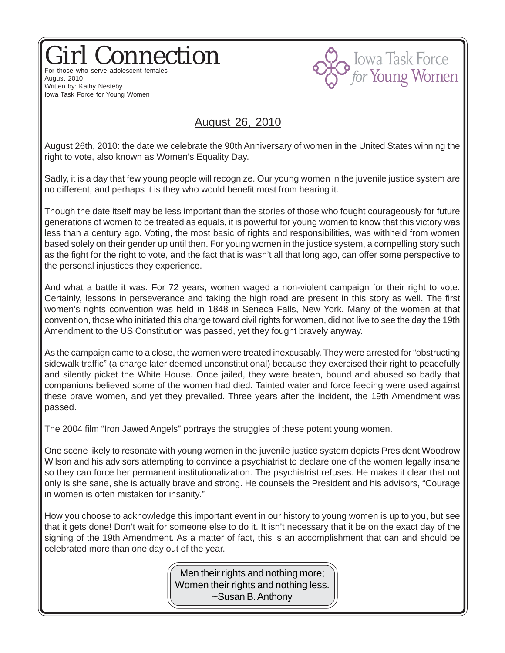## Girl Connection For those who serve adolescent females



August 2010 Written by: Kathy Nesteby Iowa Task Force for Young Women

## August 26, 2010

August 26th, 2010: the date we celebrate the 90th Anniversary of women in the United States winning the right to vote, also known as Women's Equality Day.

Sadly, it is a day that few young people will recognize. Our young women in the juvenile justice system are no different, and perhaps it is they who would benefit most from hearing it.

Though the date itself may be less important than the stories of those who fought courageously for future generations of women to be treated as equals, it is powerful for young women to know that this victory was less than a century ago. Voting, the most basic of rights and responsibilities, was withheld from women based solely on their gender up until then. For young women in the justice system, a compelling story such as the fight for the right to vote, and the fact that is wasn't all that long ago, can offer some perspective to the personal injustices they experience.

And what a battle it was. For 72 years, women waged a non-violent campaign for their right to vote. Certainly, lessons in perseverance and taking the high road are present in this story as well. The first women's rights convention was held in 1848 in Seneca Falls, New York. Many of the women at that convention, those who initiated this charge toward civil rights for women, did not live to see the day the 19th Amendment to the US Constitution was passed, yet they fought bravely anyway.

As the campaign came to a close, the women were treated inexcusably. They were arrested for "obstructing sidewalk traffic" (a charge later deemed unconstitutional) because they exercised their right to peacefully and silently picket the White House. Once jailed, they were beaten, bound and abused so badly that companions believed some of the women had died. Tainted water and force feeding were used against these brave women, and yet they prevailed. Three years after the incident, the 19th Amendment was passed.

The 2004 film "Iron Jawed Angels" portrays the struggles of these potent young women.

One scene likely to resonate with young women in the juvenile justice system depicts President Woodrow Wilson and his advisors attempting to convince a psychiatrist to declare one of the women legally insane so they can force her permanent institutionalization. The psychiatrist refuses. He makes it clear that not only is she sane, she is actually brave and strong. He counsels the President and his advisors, "Courage in women is often mistaken for insanity."

How you choose to acknowledge this important event in our history to young women is up to you, but see that it gets done! Don't wait for someone else to do it. It isn't necessary that it be on the exact day of the signing of the 19th Amendment. As a matter of fact, this is an accomplishment that can and should be celebrated more than one day out of the year.

> Men their rights and nothing more; Women their rights and nothing less. ~Susan B. Anthony